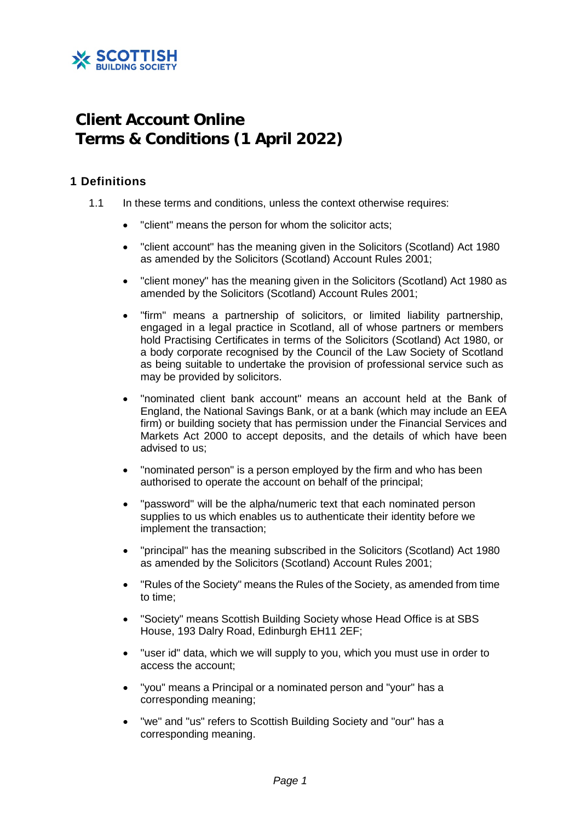

# **Client Account Online Terms & Conditions (1 April 2022)**

## **1 Definitions**

- 1.1 In these terms and conditions, unless the context otherwise requires:
	- "client" means the person for whom the solicitor acts;
	- "client account" has the meaning given in the Solicitors (Scotland) Act 1980 as amended by the Solicitors (Scotland) Account Rules 2001;
	- "client money" has the meaning given in the Solicitors (Scotland) Act 1980 as amended by the Solicitors (Scotland) Account Rules 2001;
	- "firm" means a partnership of solicitors, or limited liability partnership, engaged in a legal practice in Scotland, all of whose partners or members hold Practising Certificates in terms of the Solicitors (Scotland) Act 1980, or a body corporate recognised by the Council of the Law Society of Scotland as being suitable to undertake the provision of professional service such as may be provided by solicitors.
	- "nominated client bank account" means an account held at the Bank of England, the National Savings Bank, or at a bank (which may include an EEA firm) or building society that has permission under the Financial Services and Markets Act 2000 to accept deposits, and the details of which have been advised to us;
	- "nominated person" is a person employed by the firm and who has been authorised to operate the account on behalf of the principal;
	- "password" will be the alpha/numeric text that each nominated person supplies to us which enables us to authenticate their identity before we implement the transaction;
	- "principal" has the meaning subscribed in the Solicitors (Scotland) Act 1980 as amended by the Solicitors (Scotland) Account Rules 2001;
	- "Rules of the Society" means the Rules of the Society, as amended from time to time;
	- "Society" means Scottish Building Society whose Head Office is at SBS House, 193 Dalry Road, Edinburgh EH11 2EF;
	- "user id" data, which we will supply to you, which you must use in order to access the account;
	- "you" means a Principal or a nominated person and "your" has a corresponding meaning;
	- "we" and "us" refers to Scottish Building Society and "our" has a corresponding meaning.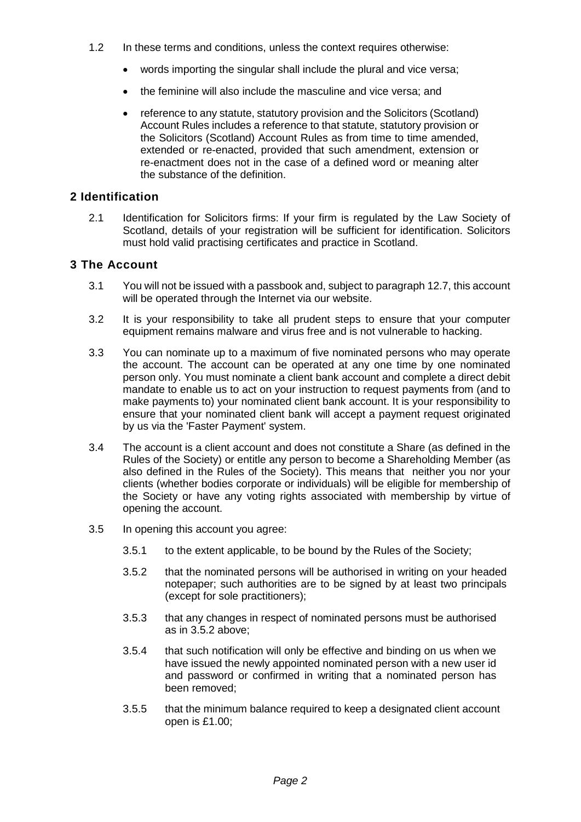- 1.2 In these terms and conditions, unless the context requires otherwise:
	- words importing the singular shall include the plural and vice versa;
	- the feminine will also include the masculine and vice versa; and
	- reference to any statute, statutory provision and the Solicitors (Scotland) Account Rules includes a reference to that statute, statutory provision or the Solicitors (Scotland) Account Rules as from time to time amended, extended or re-enacted, provided that such amendment, extension or re-enactment does not in the case of a defined word or meaning alter the substance of the definition.

## **2 Identification**

2.1 Identification for Solicitors firms: If your firm is regulated by the Law Society of Scotland, details of your registration will be sufficient for identification. Solicitors must hold valid practising certificates and practice in Scotland.

## **3 The Account**

- 3.1 You will not be issued with a passbook and, subject to paragraph 12.7, this account will be operated through the Internet via our website.
- 3.2 It is your responsibility to take all prudent steps to ensure that your computer equipment remains malware and virus free and is not vulnerable to hacking.
- 3.3 You can nominate up to a maximum of five nominated persons who may operate the account. The account can be operated at any one time by one nominated person only. You must nominate a client bank account and complete a direct debit mandate to enable us to act on your instruction to request payments from (and to make payments to) your nominated client bank account. It is your responsibility to ensure that your nominated client bank will accept a payment request originated by us via the 'Faster Payment' system.
- 3.4 The account is a client account and does not constitute a Share (as defined in the Rules of the Society) or entitle any person to become a Shareholding Member (as also defined in the Rules of the Society). This means that neither you nor your clients (whether bodies corporate or individuals) will be eligible for membership of the Society or have any voting rights associated with membership by virtue of opening the account.
- 3.5 In opening this account you agree:
	- 3.5.1 to the extent applicable, to be bound by the Rules of the Society;
	- 3.5.2 that the nominated persons will be authorised in writing on your headed notepaper; such authorities are to be signed by at least two principals (except for sole practitioners);
	- 3.5.3 that any changes in respect of nominated persons must be authorised as in 3.5.2 above;
	- 3.5.4 that such notification will only be effective and binding on us when we have issued the newly appointed nominated person with a new user id and password or confirmed in writing that a nominated person has been removed;
	- 3.5.5 that the minimum balance required to keep a designated client account open is £1.00;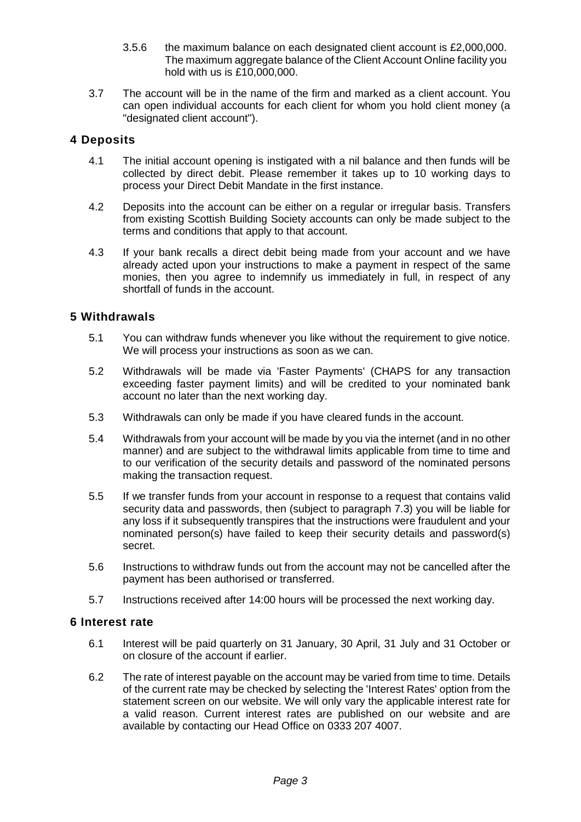- 3.5.6 the maximum balance on each designated client account is £2,000,000. The maximum aggregate balance of the Client Account Online facility you hold with us is £10,000,000.
- 3.7 The account will be in the name of the firm and marked as a client account. You can open individual accounts for each client for whom you hold client money (a "designated client account").

## **4 Deposits**

- 4.1 The initial account opening is instigated with a nil balance and then funds will be collected by direct debit. Please remember it takes up to 10 working days to process your Direct Debit Mandate in the first instance.
- 4.2 Deposits into the account can be either on a regular or irregular basis. Transfers from existing Scottish Building Society accounts can only be made subject to the terms and conditions that apply to that account.
- 4.3 If your bank recalls a direct debit being made from your account and we have already acted upon your instructions to make a payment in respect of the same monies, then you agree to indemnify us immediately in full, in respect of any shortfall of funds in the account.

## **5 Withdrawals**

- 5.1 You can withdraw funds whenever you like without the requirement to give notice. We will process your instructions as soon as we can.
- 5.2 Withdrawals will be made via 'Faster Payments' (CHAPS for any transaction exceeding faster payment limits) and will be credited to your nominated bank account no later than the next working day.
- 5.3 Withdrawals can only be made if you have cleared funds in the account.
- 5.4 Withdrawals from your account will be made by you via the internet (and in no other manner) and are subject to the withdrawal limits applicable from time to time and to our verification of the security details and password of the nominated persons making the transaction request.
- 5.5 If we transfer funds from your account in response to a request that contains valid security data and passwords, then (subject to paragraph 7.3) you will be liable for any loss if it subsequently transpires that the instructions were fraudulent and your nominated person(s) have failed to keep their security details and password(s) secret.
- 5.6 Instructions to withdraw funds out from the account may not be cancelled after the payment has been authorised or transferred.
- 5.7 Instructions received after 14:00 hours will be processed the next working day.

#### **6 Interest rate**

- 6.1 Interest will be paid quarterly on 31 January, 30 April, 31 July and 31 October or on closure of the account if earlier.
- 6.2 The rate of interest payable on the account may be varied from time to time. Details of the current rate may be checked by selecting the 'Interest Rates' option from the statement screen on our website. We will only vary the applicable interest rate for a valid reason. Current interest rates are published on our website and are available by contacting our Head Office on 0333 207 4007.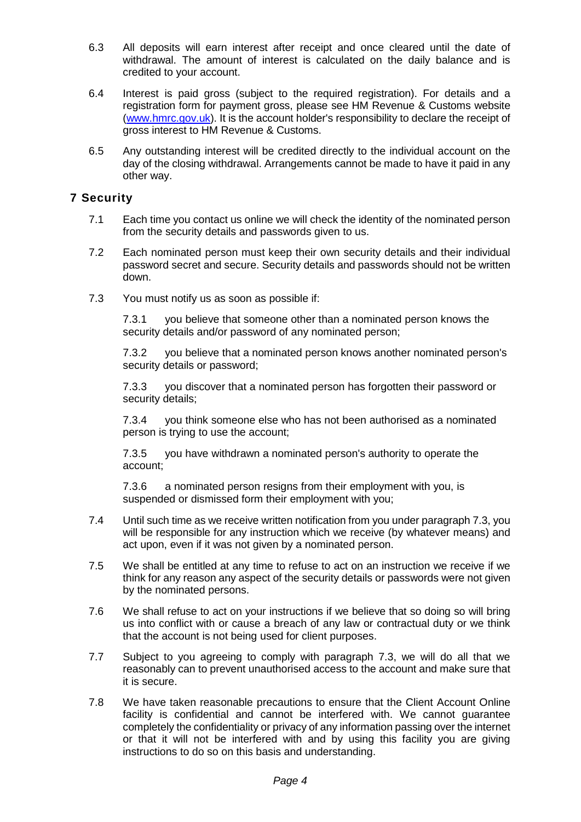- 6.3 All deposits will earn interest after receipt and once cleared until the date of withdrawal. The amount of interest is calculated on the daily balance and is credited to your account.
- 6.4 Interest is paid gross (subject to the required registration). For details and a registration form for payment gross, please see HM Revenue & Customs website [\(www.hmrc.gov.uk\)](http://www.hmrc.gov.uk/). It is the account holder's responsibility to declare the receipt of gross interest to HM Revenue & Customs.
- 6.5 Any outstanding interest will be credited directly to the individual account on the day of the closing withdrawal. Arrangements cannot be made to have it paid in any other way.

# **7 Security**

- 7.1 Each time you contact us online we will check the identity of the nominated person from the security details and passwords given to us.
- 7.2 Each nominated person must keep their own security details and their individual password secret and secure. Security details and passwords should not be written down.
- 7.3 You must notify us as soon as possible if:

7.3.1 you believe that someone other than a nominated person knows the security details and/or password of any nominated person;

7.3.2 you believe that a nominated person knows another nominated person's security details or password;

7.3.3 you discover that a nominated person has forgotten their password or security details;

7.3.4 you think someone else who has not been authorised as a nominated person is trying to use the account;

7.3.5 you have withdrawn a nominated person's authority to operate the account;

7.3.6 a nominated person resigns from their employment with you, is suspended or dismissed form their employment with you;

- 7.4 Until such time as we receive written notification from you under paragraph 7.3, you will be responsible for any instruction which we receive (by whatever means) and act upon, even if it was not given by a nominated person.
- 7.5 We shall be entitled at any time to refuse to act on an instruction we receive if we think for any reason any aspect of the security details or passwords were not given by the nominated persons.
- 7.6 We shall refuse to act on your instructions if we believe that so doing so will bring us into conflict with or cause a breach of any law or contractual duty or we think that the account is not being used for client purposes.
- 7.7 Subject to you agreeing to comply with paragraph 7.3, we will do all that we reasonably can to prevent unauthorised access to the account and make sure that it is secure.
- 7.8 We have taken reasonable precautions to ensure that the Client Account Online facility is confidential and cannot be interfered with. We cannot guarantee completely the confidentiality or privacy of any information passing over the internet or that it will not be interfered with and by using this facility you are giving instructions to do so on this basis and understanding.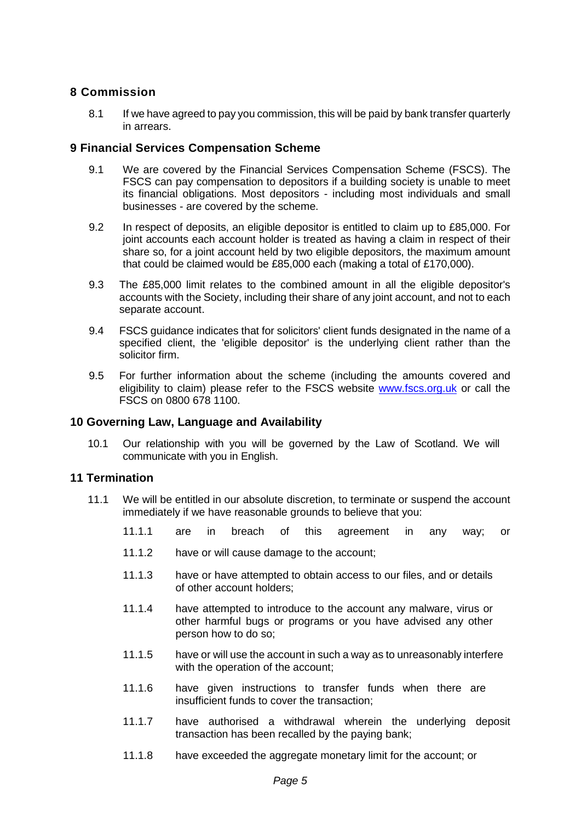## **8 Commission**

8.1 If we have agreed to pay you commission, this will be paid by bank transfer quarterly in arrears.

## **9 Financial Services Compensation Scheme**

- 9.1 We are covered by the Financial Services Compensation Scheme (FSCS). The FSCS can pay compensation to depositors if a building society is unable to meet its financial obligations. Most depositors - including most individuals and small businesses - are covered by the scheme.
- 9.2 In respect of deposits, an eligible depositor is entitled to claim up to £85,000. For joint accounts each account holder is treated as having a claim in respect of their share so, for a joint account held by two eligible depositors, the maximum amount that could be claimed would be £85,000 each (making a total of £170,000).
- 9.3 The £85,000 limit relates to the combined amount in all the eligible depositor's accounts with the Society, including their share of any joint account, and not to each separate account.
- 9.4 FSCS guidance indicates that for solicitors' client funds designated in the name of a specified client, the 'eligible depositor' is the underlying client rather than the solicitor firm.
- 9.5 For further information about the scheme (including the amounts covered and eligibility to claim) please refer to the FSCS website [www.fscs.org.uk](http://www.fscs.org.uk/) or call the FSCS on 0800 678 1100.

#### **10 Governing Law, Language and Availability**

10.1 Our relationship with you will be governed by the Law of Scotland. We will communicate with you in English.

#### **11 Termination**

- 11.1 We will be entitled in our absolute discretion, to terminate or suspend the account immediately if we have reasonable grounds to believe that you:
	- 11.1.1 are in breach of this agreement in any way; or
	- 11.1.2 have or will cause damage to the account;
	- 11.1.3 have or have attempted to obtain access to our files, and or details of other account holders;
	- 11.1.4 have attempted to introduce to the account any malware, virus or other harmful bugs or programs or you have advised any other person how to do so;
	- 11.1.5 have or will use the account in such a way as to unreasonably interfere with the operation of the account;
	- 11.1.6 have given instructions to transfer funds when there are insufficient funds to cover the transaction;
	- 11.1.7 have authorised a withdrawal wherein the underlying deposit transaction has been recalled by the paying bank;
	- 11.1.8 have exceeded the aggregate monetary limit for the account; or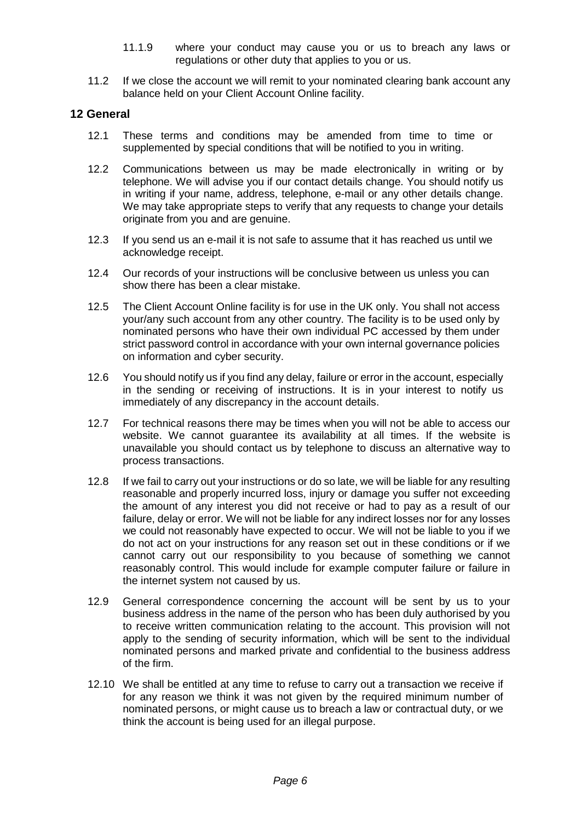- 11.1.9 where your conduct may cause you or us to breach any laws or regulations or other duty that applies to you or us.
- 11.2 If we close the account we will remit to your nominated clearing bank account any balance held on your Client Account Online facility.

## **12 General**

- 12.1 These terms and conditions may be amended from time to time or supplemented by special conditions that will be notified to you in writing.
- 12.2 Communications between us may be made electronically in writing or by telephone. We will advise you if our contact details change. You should notify us in writing if your name, address, telephone, e-mail or any other details change. We may take appropriate steps to verify that any requests to change your details originate from you and are genuine.
- 12.3 If you send us an e-mail it is not safe to assume that it has reached us until we acknowledge receipt.
- 12.4 Our records of your instructions will be conclusive between us unless you can show there has been a clear mistake.
- 12.5 The Client Account Online facility is for use in the UK only. You shall not access your/any such account from any other country. The facility is to be used only by nominated persons who have their own individual PC accessed by them under strict password control in accordance with your own internal governance policies on information and cyber security.
- 12.6 You should notify us if you find any delay, failure or error in the account, especially in the sending or receiving of instructions. It is in your interest to notify us immediately of any discrepancy in the account details.
- 12.7 For technical reasons there may be times when you will not be able to access our website. We cannot guarantee its availability at all times. If the website is unavailable you should contact us by telephone to discuss an alternative way to process transactions.
- 12.8 If we fail to carry out your instructions or do so late, we will be liable for any resulting reasonable and properly incurred loss, injury or damage you suffer not exceeding the amount of any interest you did not receive or had to pay as a result of our failure, delay or error. We will not be liable for any indirect losses nor for any losses we could not reasonably have expected to occur. We will not be liable to you if we do not act on your instructions for any reason set out in these conditions or if we cannot carry out our responsibility to you because of something we cannot reasonably control. This would include for example computer failure or failure in the internet system not caused by us.
- 12.9 General correspondence concerning the account will be sent by us to your business address in the name of the person who has been duly authorised by you to receive written communication relating to the account. This provision will not apply to the sending of security information, which will be sent to the individual nominated persons and marked private and confidential to the business address of the firm.
- 12.10 We shall be entitled at any time to refuse to carry out a transaction we receive if for any reason we think it was not given by the required minimum number of nominated persons, or might cause us to breach a law or contractual duty, or we think the account is being used for an illegal purpose.